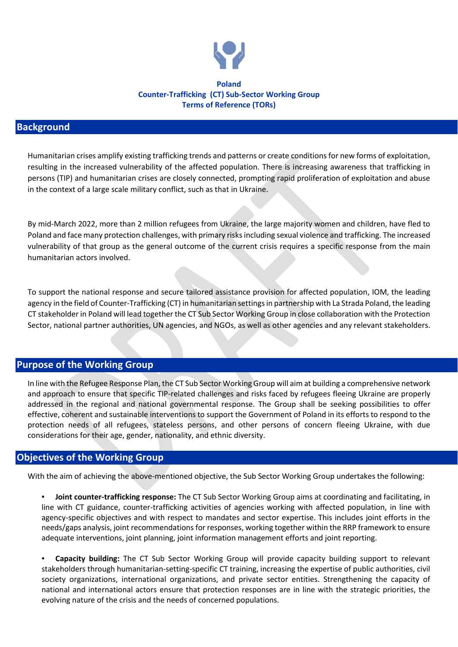

#### **Poland Counter-Trafficking (CT) Sub-Sector Working Group Terms of Reference (TORs)**

#### **Background**

Humanitarian crises amplify existing trafficking trends and patterns or create conditions for new forms of exploitation, resulting in the increased vulnerability of the affected population. There is increasing awareness that trafficking in persons (TIP) and humanitarian crises are closely connected, prompting rapid proliferation of exploitation and abuse in the context of a large scale military conflict, such as that in Ukraine.

By mid-March 2022, more than 2 million refugees from Ukraine, the large majority women and children, have fled to Poland and face many protection challenges, with primary risks including sexual violence and trafficking. The increased vulnerability of that group as the general outcome of the current crisis requires a specific response from the main humanitarian actors involved.

To support the national response and secure tailored assistance provision for affected population, IOM, the leading agency in the field of Counter-Trafficking (CT) in humanitarian settings in partnership with La Strada Poland, the leading CT stakeholder in Poland will lead together the CT Sub Sector Working Group in close collaboration with the Protection Sector, national partner authorities, UN agencies, and NGOs, as well as other agencies and any relevant stakeholders.

### **Purpose of the Working Group**

In line with the Refugee Response Plan, the CT Sub Sector Working Group will aim at building a comprehensive network and approach to ensure that specific TIP-related challenges and risks faced by refugees fleeing Ukraine are properly addressed in the regional and national governmental response. The Group shall be seeking possibilities to offer effective, coherent and sustainable interventions to support the Government of Poland in its efforts to respond to the protection needs of all refugees, stateless persons, and other persons of concern fleeing Ukraine, with due considerations for their age, gender, nationality, and ethnic diversity.

### **Objectives of the Working Group**

With the aim of achieving the above-mentioned objective, the Sub Sector Working Group undertakes the following:

**Joint counter-trafficking response:** The CT Sub Sector Working Group aims at coordinating and facilitating, in line with CT guidance, counter-trafficking activities of agencies working with affected population, in line with agency-specific objectives and with respect to mandates and sector expertise. This includes joint efforts in the needs/gaps analysis, joint recommendations for responses, working together within the RRP framework to ensure adequate interventions, joint planning, joint information management efforts and joint reporting.

Capacity building: The CT Sub Sector Working Group will provide capacity building support to relevant stakeholders through humanitarian-setting-specific CT training, increasing the expertise of public authorities, civil society organizations, international organizations, and private sector entities. Strengthening the capacity of national and international actors ensure that protection responses are in line with the strategic priorities, the evolving nature of the crisis and the needs of concerned populations.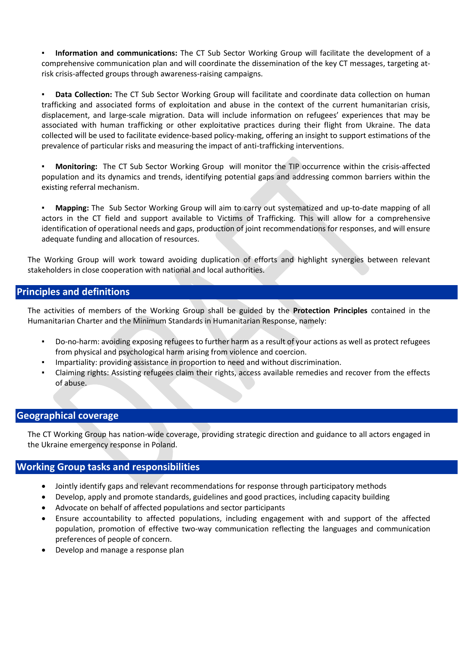**Information and communications:** The CT Sub Sector Working Group will facilitate the development of a comprehensive communication plan and will coordinate the dissemination of the key CT messages, targeting atrisk crisis-affected groups through awareness-raising campaigns.

**Data Collection:** The CT Sub Sector Working Group will facilitate and coordinate data collection on human trafficking and associated forms of exploitation and abuse in the context of the current humanitarian crisis, displacement, and large-scale migration. Data will include information on refugees' experiences that may be associated with human trafficking or other exploitative practices during their flight from Ukraine. The data collected will be used to facilitate evidence-based policy-making, offering an insight to support estimations of the prevalence of particular risks and measuring the impact of anti-trafficking interventions.

▪ **Monitoring:** The CT Sub Sector Working Group will monitor the TIP occurrence within the crisis-affected population and its dynamics and trends, identifying potential gaps and addressing common barriers within the existing referral mechanism.

▪ **Mapping:** The Sub Sector Working Group will aim to carry out systematized and up-to-date mapping of all actors in the CT field and support available to Victims of Trafficking. This will allow for a comprehensive identification of operational needs and gaps, production of joint recommendations for responses, and will ensure adequate funding and allocation of resources.

The Working Group will work toward avoiding duplication of efforts and highlight synergies between relevant stakeholders in close cooperation with national and local authorities.

# **Principles and definitions**

The activities of members of the Working Group shall be guided by the **Protection Principles** contained in the Humanitarian Charter and the Minimum Standards in Humanitarian Response, namely:

- Do-no-harm: avoiding exposing refugees to further harm as a result of your actions as well as protect refugees from physical and psychological harm arising from violence and coercion.
- Impartiality: providing assistance in proportion to need and without discrimination.
- Claiming rights: Assisting refugees claim their rights, access available remedies and recover from the effects of abuse.

### **Geographical coverage**

The CT Working Group has nation-wide coverage, providing strategic direction and guidance to all actors engaged in the Ukraine emergency response in Poland.

### **Working Group tasks and responsibilities**

- Jointly identify gaps and relevant recommendations for response through participatory methods
- Develop, apply and promote standards, guidelines and good practices, including capacity building
- Advocate on behalf of affected populations and sector participants
- Ensure accountability to affected populations, including engagement with and support of the affected population, promotion of effective two-way communication reflecting the languages and communication preferences of people of concern.
- Develop and manage a response plan